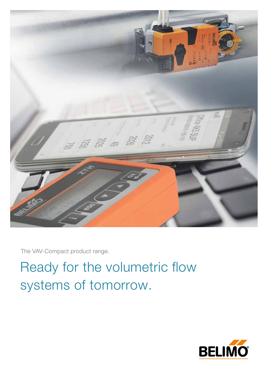

The VAV-Compact product range.

Ready for the volumetric flow systems of tomorrow.

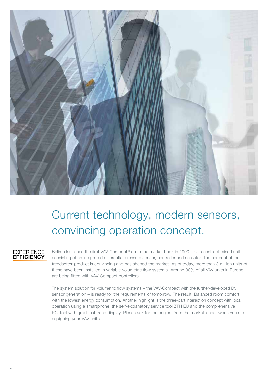

# Current technology, modern sensors, convincing operation concept.

# **EXPERIENCE EFFICIENCY**

Belimo launched the first VAV-Compact<sup>1</sup> on to the market back in 1990 – as a cost-optimised unit consisting of an integrated differential pressure sensor, controller and actuator. The concept of the trendsetter product is convincing and has shaped the market. As of today, more than 3 million units of these have been installed in variable volumetric flow systems. Around 90% of all VAV units in Europe are being fitted with VAV-Compact controllers.

The system solution for volumetric flow systems – the VAV-Compact with the further-developed D3 sensor generation – is ready for the requirements of tomorrow. The result: Balanced room comfort with the lowest energy consumption. Another highlight is the three-part interaction concept with local operation using a smartphone, the self-explanatory service tool ZTH EU and the comprehensive PC-Tool with graphical trend display. Please ask for the original from the market leader when you are equipping your VAV units.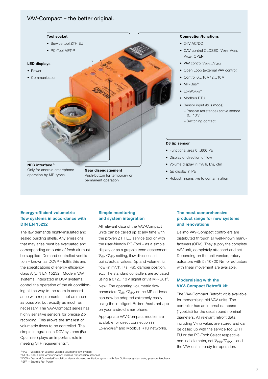# VAV-Compact – the better original.



Only for android smartphone operation by MP-types

Gear disengagement Push-button for temporary or permanent operation

### Connection/functions

- $24 V AC/DC$
- CAV control CLOSED, V<sub>MIN</sub>, V<sub>MID</sub>, V<sub>MAX</sub>, OPEN
- VAV control  $V_{MIN} \dots V_{MAX}$
- Open Loop (external VAV control)
- Control 0...10 V/ 2...10 V
- $\bullet$  MP-Bus<sup>®</sup>
- LONWORKS®
- Modbus RTU
- Sensor input (bus mode):
	- Passive resistance / active sensor  $0...10V$
	- Switching contact
- Functional area 0…600 Pa
- Display of direction of flow
- Volume display in  $m^3/h$ ,  $1/s$ , cfm
- Δp display in Pa
- Robust, insensitive to contamination

# Energy-efficient volumetric flow systems in accordance with DIN EN 15232

The law demands highly-insulated and sealed building shells. Any emissions that may arise must be evacuated and corresponding amounts of fresh air must be supplied. Demand controlled ventilation – known as  $DCV<sup>3</sup>$  – fulfils this and the specifications of energy efficiency class A (DIN EN 15232). Modern VAV systems, integrated in DCV systems, control the operation of the air conditioning all the way to the room in accordance with requirements – not as much as possible, but exactly as much as necessary. The VAV-Compact series has highly sensitive sensors for precise Δp recording. This allows the smallest of volumetric flows to be controlled. The simple integration in DCV systems (Fan Optimiser) plays an important role in meeting SFP requirements 4).

# Simple monitoring and system integration

All relevant data of the VAV-Compact units can be called up at any time with the proven ZTH EU service tool or with the user-friendly PC-Tool – as a simple display or as a graphic trend assessment: V<sub>MIN</sub>/V<sub>MAX</sub> setting, flow direction, set point/ actual values, Δp and volumetric flow (in  $m^3/h$ ,  $1/s$ , Pa), damper position, etc. The standard controllers are actuated using a 0/2...10V signal or via MP-Bus®.

New: The operating volumetric flow parameters  $V_{MIN}/V_{MAX}$  or the MP address can now be adapted extremely easily using the intelligent Belimo Assistant app on your android smartphone.

Appropriate VAV-Compact models are available for direct connection in LONWORKS<sup>®</sup> and Modbus RTU networks.

# The most comprehensive product range for new systems and renovations

Belimo VAV-Compact controllers are distributed through all well-known manufacturers (OEM). They supply the complete VAV unit, completely attached and set. Depending on the unit version, rotary actuators with 5 / 10 / 20 Nm or actuators with linear movement are available.

# Modernising with the VAV-Compact Retrofit kit

The VAV-Compact Retrofit kit is available for modernising old VAV units. The controller has an internal database (TypeList) for the usual round nominal diameters. All relevant retrofit data, including V<sub>NOM</sub> value, are stored and can be called up with the service tool ZTH EU or the PC-Tool: Select respective nominal diameter, set  $V_{MIN}/V_{MAX}$  - and the VAV unit is ready for operation.

<sup>&</sup>lt;sup>1)</sup> VAV – Variable Air Volume: variable volumetric flow system<br><sup>2)</sup> NFC – Near Field Communication: wireless transmission standard

<sup>3)</sup> DCV – Demand Controlled Ventilation: demand-based ventilation system with Fan Optimiser system using pressure feedback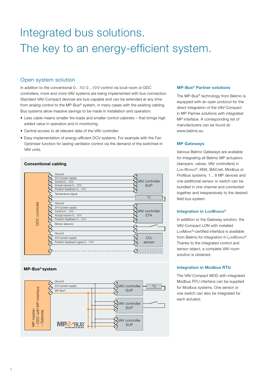# Integrated bus solutions. The key to an energy-efficient system.

# Open system solution

In addition to the conventional  $0...10/2...10V$  control via local room or DDC controllers, more and more VAV systems are being implemented with bus connection. Standard VAV-Compact devices are bus-capable and can be extended at any time from analog control to the MP-Bus® system, in many cases with the existing cabling. Bus systems allow massive savings to be made in installation and operation:

- Less cable means smaller fire loads and smaller control cabinets that brings high added value in operation and in monitoring.
- Central access to all relevant data of the VAV controller.
- Easy implementation of energy-efficient DCV systems. For example with the Fan Optimiser function for lasting ventilator control via the demand of the switched-in VAV units.

# Conventional cabling



# MP-Bus® system



# MP-Bus® Partner solutions

The MP-Bus® technology from Belimo is equipped with an open protocol for the direct integration of the VAV-Compact in MP Partner solutions with integrated MP interface. A corresponding list of manufacturers can be found at: www.belimo.eu

# MP Gateways

Various Belimo Gateways are available for integrating all Belimo MP actuators (dampers, valves, VAV controllers) in Lon-Works®, KNX, BACnet, Modbus or Profibus systems. 1…8 MP devices and one additional sensor or switch can be bundled in one channel and connected together and inexpensively to the desired field bus system.

# Integration in LonWorks®

In addition to the Gateway solution, the VAV-Compact LON with installed LONMARK<sup>®</sup>-certified interface is available from Belimo for integration in LonWorks®. Thanks to the integrated control and sensor object, a complete VAV room solution is obtained.

# Integration in Modbus RTU

The VAV-Compact MOD with integrated Modbus RTU interface can be supplied for Modbus systems. One sensor or one switch can also be integrated for each actuator.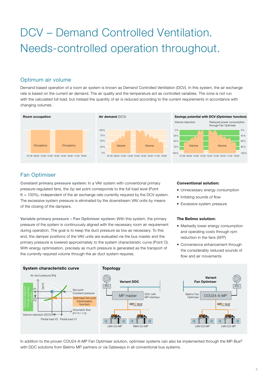# DCV – Demand Controlled Ventilation. Needs-controlled operation throughout.

# Optimum air volume

Demand-based operation of a room air system is known as Demand Controlled Ventilation (DCV). In this system, the air exchange rate is based on the current air demand. The air quality and the temperature act as controlled variables. The zone is not run with the calculated full load, but instead the quantity of air is reduced according to the current requirements in accordance with changing volumes.



# Fan Optimiser

Constant primary pressure system: In a VAV system with conventional primary pressure-regulated fans, the Δp set point corresponds to the full load level (Point  $K = 100\%$ ), independent of the air exchange rate currently required by the DCV system. The excessive system pressure is eliminated by the downstream VAV units by means of the closing of the dampers.

Variable primary pressure – Fan Optimiser system: With this system, the primary pressure of the system is continuously aligned with the necessary room air requirement during operation. The goal is to keep the duct pressure as low as necessary. To this end, the damper positions of the VAV units are evaluated via the bus master and the primary pressure is lowered approximately to the system characteristic curve (Point O). With energy optimisation, precisely as much pressure is generated as the transport of the currently required volume through the air duct system requires.

### Conventional solution:

- Unnecessary energy consumption
- Irritating sounds of flow
- Excessive system pressure

# The Belimo solution:

- Markedly lower energy consumption and operating costs through rpm reduction in the fans (SFP)
- Convenience enhancement through the considerably reduced sounds of flow and air movements



In addition to the proven COU24-A-MP Fan Optimiser solution, optimiser systems can also be implemented through the MP-Bus® with DDC solutions from Belimo MP partners or via Gateways in all conventional bus systems.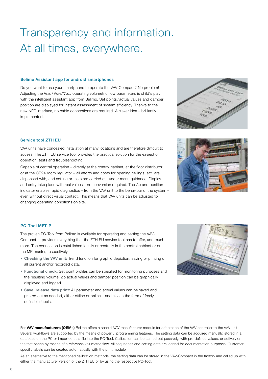# Transparency and information. At all times, everywhere.

#### Belimo Assistant app for android smartphones

Do you want to use your smartphone to operate the VAV-Compact? No problem! Adjusting the V<sub>MIN</sub>/V<sub>MID</sub>/V<sub>MAX</sub> operating volumetric flow parameters is child's play with the intelligent assistant app from Belimo. Set points / actual values and damper position are displayed for instant assessment of system efficiency. Thanks to the new NFC interface, no cable connections are required. A clever idea – brilliantly implemented.

### Service tool ZTH EU

VAV units have concealed installation at many locations and are therefore difficult to access. The ZTH EU service tool provides the practical solution for the easiest of operation, tests and troubleshooting.

Capable of central operation – directly at the control cabinet, at the floor distributor or at the CR24 room regulator – all efforts and costs for opening ceilings, etc. are dispensed with, and setting or tests are carried out under menu guidance. Display and entry take place with real values – no conversion required. The Δp and position indicator enables rapid diagnostics – from the VAV unit to the behaviour of the system – even without direct visual contact. This means that VAV units can be adjusted to changing operating conditions on site.





### PC-Tool MFT-P

The proven PC-Tool from Belimo is available for operating and setting the VAV-Compact. It provides everything that the ZTH EU service tool has to offer, and much more. The connection is established locally or centrally in the control cabinet or on the MP master, respectively.

- Checking the VAV unit: Trend function for graphic depiction, saving or printing of all current and/or recorded data.
- Functional check: Set point profiles can be specified for monitoring purposes and the resulting volume, Δp actual values and damper position can be graphically displayed and logged.
- Save, release data print: All parameter and actual values can be saved and printed out as needed, either offline or online – and also in the form of freely definable labels.



For VAV manufacturers (OEMs) Belimo offers a special VAV manufacturer module for adaptation of the VAV controller to the VAV unit. Several workflows are supported by the means of powerful programming features. The setting data can be acquired manually, stored in a database on the PC or imported as a file into the PC-Tool. Calibration can be carried out passively, with pre-defined values, or actively on the test bench by means of a reference volumetric flow. All sequences and setting data are logged for documentation purposes. Customerspecific labels can be created automatically with the print module.

As an alternative to the mentioned calibration methods, the setting data can be stored in the VAV-Compact in the factory and called up with either the manufacturer version of the ZTH EU or by using the respective PC-Tool.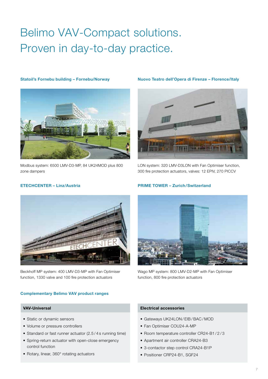# Belimo VAV-Compact solutions. Proven in day-to-day practice.



Modbus system: 6500 LMV-D3-MP, 84 UK24MOD plus 800 zone dampers

### Statoil's Fornebu building – Fornebu/Norway Nuovo Teatro dell'Opera di Firenze – Florence/Italy



LON system: 320 LMV-D3LON with Fan Optimiser function, 300 fire protection actuators, valves: 12 EPIV, 270 PICCV



Beckhoff MP system: 400 LMV-D3-MP with Fan Optimiser function, 1330 valve and 100 fire protection actuators

# ETECHCENTER – Linz/Austria PRIME TOWER – Zurich/Switzerland



Wago MP system: 800 LMV-D2-MP with Fan Optimiser function, 800 fire protection actuators

### Complementary Belimo VAV product ranges

- Static or dynamic sensors
- Volume or pressure controllers
- Standard or fast runner actuator (2.5 / 4 s running time)
- Spring-return actuator with open-close emergency control function
- Rotary, linear, 360° rotating actuators

# VAV-Universal Electrical accessories

- Gateways UK24LON / EIB/BAC / MOD
- Fan Optimiser COU24-A-MP
- Room temperature controller CR24-B1 / 2 / 3
- Apartment air controller CRA24-B3
- 3-contactor step control CRA24-B1P
- Positioner CRP24-B1, SGF24